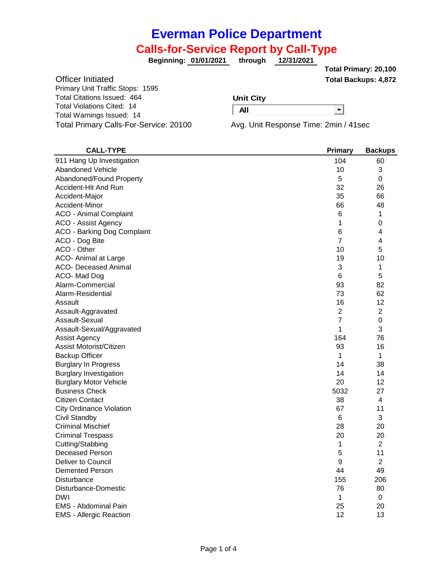# **Calls-for-Service Report by Call-Type**

**01/01/2021 through 12/31/2021 Beginning:**

**Total Backups: 4,872 Total Primary: 20,100**

−

Officer Initiated Primary Unit Traffic Stops: 1595 Total Citations Issued: 464 Total Violations Cited: 14 Total Warnings Issued: 14 Total Primary Calls-For-Service: 20100 Avg. Unit Response Time: 2min / 41sec

#### **Unit City**

**All**

| <b>CALL-TYPE</b>                   | Primary         | <b>Backups</b> |
|------------------------------------|-----------------|----------------|
| 911 Hang Up Investigation          | 104             | 60             |
| <b>Abandoned Vehicle</b>           | 10              | 3              |
| Abandoned/Found Property           | 5               | 0              |
| Accident-Hit And Run               | 32              | 26             |
| Accident-Major                     | 35              | 66             |
| Accident-Minor                     | 66              | 48             |
| <b>ACO - Animal Complaint</b>      | 6               | 1              |
| ACO - Assist Agency                | 1               | 0              |
| <b>ACO - Barking Dog Complaint</b> | 6               | 4              |
| ACO - Dog Bite                     | $\overline{7}$  | 4              |
| ACO - Other                        | 10              | 5              |
| ACO- Animal at Large               | 19              | 10             |
| <b>ACO- Deceased Animal</b>        | 3               | 1              |
| ACO-Mad Dog                        | $6\phantom{1}6$ | 5              |
| Alarm-Commercial                   | 93              | 82             |
| Alarm-Residential                  | 73              | 62             |
| Assault                            | 16              | 12             |
| Assault-Aggravated                 | $\overline{2}$  | $\overline{2}$ |
| Assault-Sexual                     | 7               | 0              |
| Assault-Sexual/Aggravated          | 1               | 3              |
| <b>Assist Agency</b>               | 164             | 76             |
| Assist Motorist/Citizen            | 93              | 16             |
| <b>Backup Officer</b>              | 1               | 1              |
| <b>Burglary In Progress</b>        | 14              | 38             |
| <b>Burglary Investigation</b>      | 14              | 14             |
| <b>Burglary Motor Vehicle</b>      | 20              | 12             |
| <b>Business Check</b>              | 5032            | 27             |
| <b>Citizen Contact</b>             | 38              | 4              |
| <b>City Ordinance Violation</b>    | 67              | 11             |
| Civil Standby                      | 6               | 3              |
| <b>Criminal Mischief</b>           | 28              | 20             |
| <b>Criminal Trespass</b>           | 20              | 20             |
| Cutting/Stabbing                   | 1               | 2              |
| <b>Deceased Person</b>             | 5               | 11             |
| Deliver to Council                 | 9               | $\overline{2}$ |
| <b>Demented Person</b>             | 44              | 49             |
| Disturbance                        | 155             | 206            |
| Disturbance-Domestic               | 76              | 80             |
| <b>DWI</b>                         | 1               | 0              |
| EMS - Abdominal Pain               | 25              | 20             |
| <b>EMS - Allergic Reaction</b>     | 12              | 13             |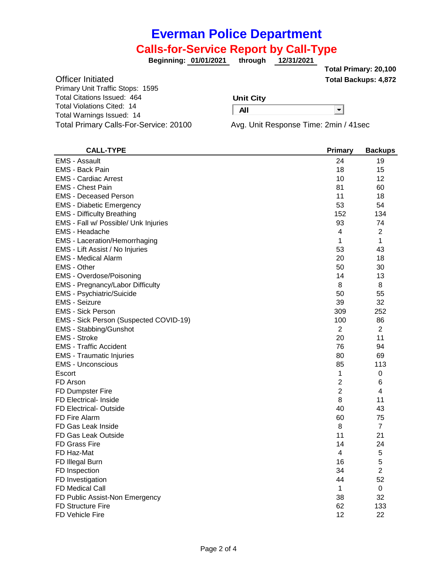### **Calls-for-Service Report by Call-Type**

**01/01/2021 through 12/31/2021 Beginning:**

**Total Backups: 4,872 Total Primary: 20,100**

−

Officer Initiated Primary Unit Traffic Stops: 1595 Total Citations Issued: 464 Total Violations Cited: 14 Total Warnings Issued: 14 Total Primary Calls-For-Service: 20100 Avg. Unit Response Time: 2min / 41sec

#### **Unit City**

**All**

| <b>CALL-TYPE</b>                       | <b>Primary</b> | <b>Backups</b> |
|----------------------------------------|----------------|----------------|
| <b>EMS - Assault</b>                   | 24             | 19             |
| <b>EMS - Back Pain</b>                 | 18             | 15             |
| <b>EMS - Cardiac Arrest</b>            | 10             | 12             |
| <b>EMS - Chest Pain</b>                | 81             | 60             |
| <b>EMS - Deceased Person</b>           | 11             | 18             |
| <b>EMS</b> - Diabetic Emergency        | 53             | 54             |
| <b>EMS - Difficulty Breathing</b>      | 152            | 134            |
| EMS - Fall w/ Possible/ Unk Injuries   | 93             | 74             |
| <b>EMS - Headache</b>                  | 4              | $\overline{2}$ |
| <b>EMS</b> - Laceration/Hemorrhaging   | 1              | 1              |
| EMS - Lift Assist / No Injuries        | 53             | 43             |
| <b>EMS - Medical Alarm</b>             | 20             | 18             |
| <b>EMS - Other</b>                     | 50             | 30             |
| <b>EMS - Overdose/Poisoning</b>        | 14             | 13             |
| EMS - Pregnancy/Labor Difficulty       | 8              | 8              |
| <b>EMS - Psychiatric/Suicide</b>       | 50             | 55             |
| <b>EMS - Seizure</b>                   | 39             | 32             |
| <b>EMS - Sick Person</b>               | 309            | 252            |
| EMS - Sick Person (Suspected COVID-19) | 100            | 86             |
| <b>EMS - Stabbing/Gunshot</b>          | 2              | 2              |
| <b>EMS - Stroke</b>                    | 20             | 11             |
| <b>EMS</b> - Traffic Accident          | 76             | 94             |
| <b>EMS</b> - Traumatic Injuries        | 80             | 69             |
| <b>EMS - Unconscious</b>               | 85             | 113            |
| Escort                                 | 1              | 0              |
| FD Arson                               | $\overline{2}$ | 6              |
| FD Dumpster Fire                       | $\overline{2}$ | 4              |
| <b>FD Electrical- Inside</b>           | 8              | 11             |
| <b>FD Electrical- Outside</b>          | 40             | 43             |
| FD Fire Alarm                          | 60             | 75             |
| FD Gas Leak Inside                     | 8              | 7              |
| FD Gas Leak Outside                    | 11             | 21             |
| <b>FD Grass Fire</b>                   | 14             | 24             |
| FD Haz-Mat                             | 4              | 5              |
| FD Illegal Burn                        | 16             | 5              |
| FD Inspection                          | 34             | $\overline{2}$ |
| FD Investigation                       | 44             | 52             |
| <b>FD Medical Call</b>                 | 1              | 0              |
| FD Public Assist-Non Emergency         | 38             | 32             |
| <b>FD Structure Fire</b>               | 62             | 133            |
| FD Vehicle Fire                        | 12             | 22             |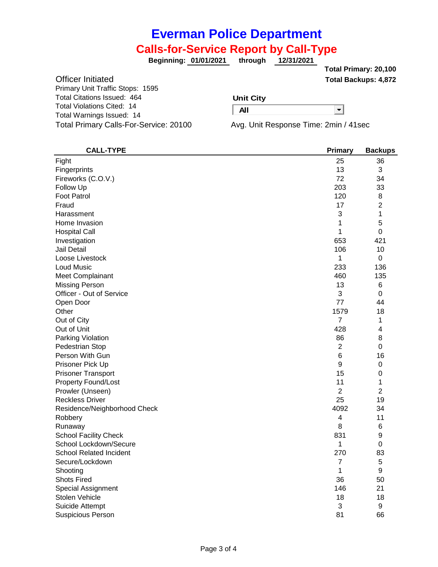### **Calls-for-Service Report by Call-Type**

**01/01/2021 through 12/31/2021 Beginning:**

**Total Backups: 4,872 Total Primary: 20,100**

−

Officer Initiated Primary Unit Traffic Stops: 1595 Total Citations Issued: 464 Total Violations Cited: 14 Total Warnings Issued: 14 Total Primary Calls-For-Service: 20100 Avg. Unit Response Time: 2min / 41sec

#### **Unit City**

**All**

| <b>CALL-TYPE</b>               | <b>Primary</b> | <b>Backups</b> |
|--------------------------------|----------------|----------------|
| Fight                          | 25             | 36             |
| Fingerprints                   | 13             | 3              |
| Fireworks (C.O.V.)             | 72             | 34             |
| Follow Up                      | 203            | 33             |
| <b>Foot Patrol</b>             | 120            | 8              |
| Fraud                          | 17             | $\overline{2}$ |
| Harassment                     | 3              | 1              |
| Home Invasion                  | 1              | 5              |
| <b>Hospital Call</b>           | 1              | 0              |
| Investigation                  | 653            | 421            |
| Jail Detail                    | 106            | 10             |
| Loose Livestock                | 1              | 0              |
| <b>Loud Music</b>              | 233            | 136            |
| Meet Complainant               | 460            | 135            |
| <b>Missing Person</b>          | 13             | 6              |
| Officer - Out of Service       | 3              | 0              |
| Open Door                      | 77             | 44             |
| Other                          | 1579           | 18             |
| Out of City                    | 7              | 1              |
| Out of Unit                    | 428            | 4              |
| Parking Violation              | 86             | 8              |
| Pedestrian Stop                | $\overline{2}$ | 0              |
| Person With Gun                | 6              | 16             |
| Prisoner Pick Up               | 9              | 0              |
| <b>Prisoner Transport</b>      | 15             | 0              |
| <b>Property Found/Lost</b>     | 11             | 1              |
| Prowler (Unseen)               | $\overline{c}$ | $\overline{2}$ |
| <b>Reckless Driver</b>         | 25             | 19             |
| Residence/Neighborhood Check   | 4092           | 34             |
| Robbery                        | 4              | 11             |
| Runaway                        | 8              | 6              |
| <b>School Facility Check</b>   | 831            | 9              |
| School Lockdown/Secure         | 1              | 0              |
| <b>School Related Incident</b> | 270            | 83             |
| Secure/Lockdown                | 7              | 5              |
| Shooting                       | 1              | 9              |
| <b>Shots Fired</b>             | 36             | 50             |
| Special Assignment             | 146            | 21             |
| Stolen Vehicle                 | 18             | 18             |
| Suicide Attempt                | 3              | 9              |
| <b>Suspicious Person</b>       | 81             | 66             |